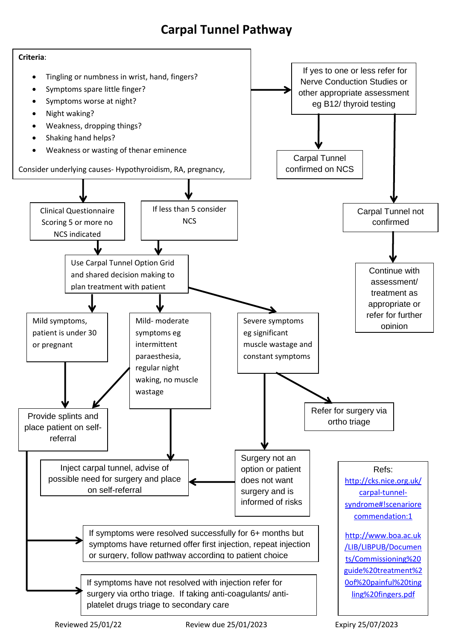## **Carpal Tunnel Pathway**

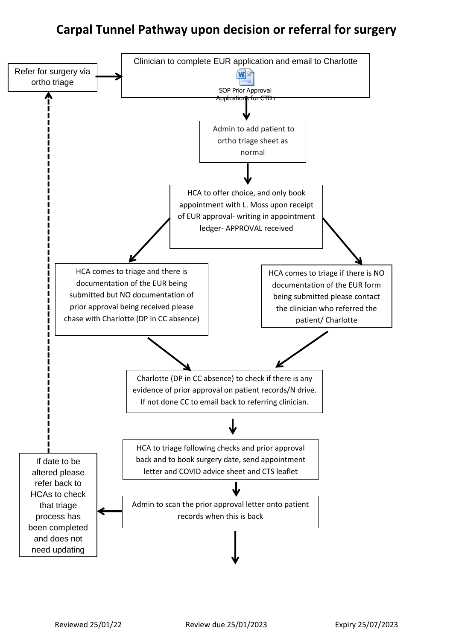## **Carpal Tunnel Pathway upon decision or referral for surgery**

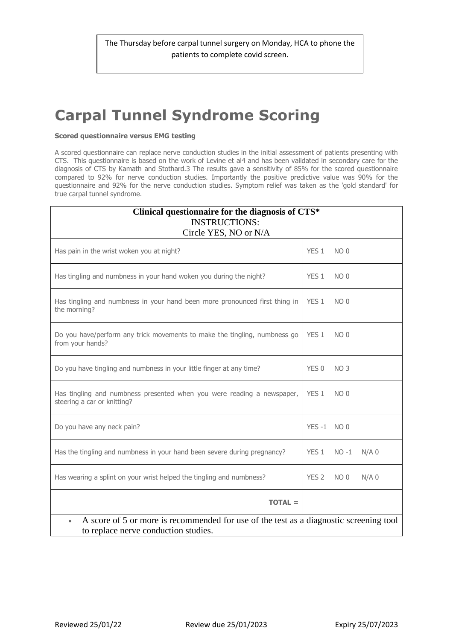## **Carpal Tunnel Syndrome Scoring**

## **Scored questionnaire versus EMG testing**

A scored questionnaire can replace nerve conduction studies in the initial assessment of patients presenting with CTS. This questionnaire is based on the work of Levine et al4 and has been validated in secondary care for the diagnosis of CTS by Kamath and Stothard.3 The results gave a sensitivity of 85% for the scored questionnaire compared to 92% for nerve conduction studies. Importantly the positive predictive value was 90% for the questionnaire and 92% for the nerve conduction studies. Symptom relief was taken as the 'gold standard' for true carpal tunnel syndrome.

| Clinical questionnaire for the diagnosis of CTS*                                                                                            |                  |                 |         |
|---------------------------------------------------------------------------------------------------------------------------------------------|------------------|-----------------|---------|
| <b>INSTRUCTIONS:</b>                                                                                                                        |                  |                 |         |
| Circle YES, NO or N/A                                                                                                                       |                  |                 |         |
| Has pain in the wrist woken you at night?                                                                                                   | YES 1            | NO <sub>0</sub> |         |
| Has tingling and numbness in your hand woken you during the night?                                                                          | YES <sub>1</sub> | NO <sub>0</sub> |         |
| Has tingling and numbness in your hand been more pronounced first thing in<br>the morning?                                                  | YES 1            | NO <sub>0</sub> |         |
| Do you have/perform any trick movements to make the tingling, numbness go<br>from your hands?                                               | YES 1            | NO <sub>0</sub> |         |
| Do you have tingling and numbness in your little finger at any time?                                                                        | YES 0            | NO <sub>3</sub> |         |
| Has tingling and numbness presented when you were reading a newspaper,<br>steering a car or knitting?                                       | YES <sub>1</sub> | NO <sub>0</sub> |         |
| Do you have any neck pain?                                                                                                                  | YES-1 NO 0       |                 |         |
| Has the tingling and numbness in your hand been severe during pregnancy?                                                                    | YES 1            | $NO -1$         | $N/A$ 0 |
| Has wearing a splint on your wrist helped the tingling and numbness?                                                                        | YES <sub>2</sub> | NO <sub>0</sub> | $N/A$ 0 |
| $TOTAL =$                                                                                                                                   |                  |                 |         |
| A score of 5 or more is recommended for use of the test as a diagnostic screening tool<br>$\bullet$<br>to replace nerve conduction studies. |                  |                 |         |